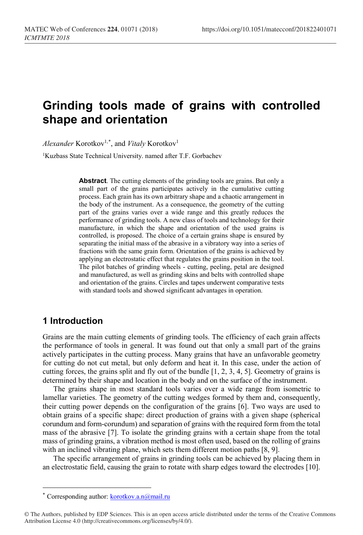# **Grinding tools made of grains with controlled shape and orientation**

Al*exander* Korotkov<sup>1,[\\*](#page-0-0)</sup>, and *Vitaly* Korotkov<sup>1</sup>

<sup>1</sup>Kuzbass State Technical University. named after T.F. Gorbachev

**Abstract**. The cutting elements of the grinding tools are grains. But only a small part of the grains participates actively in the cumulative cutting process. Each grain has its own arbitrary shape and a chaotic arrangement in the body of the instrument. As a consequence, the geometry of the cutting part of the grains varies over a wide range and this greatly reduces the performance of grinding tools. A new class of tools and technology for their manufacture, in which the shape and orientation of the used grains is controlled, is proposed. The choice of a certain grains shape is ensured by separating the initial mass of the abrasive in a vibratory way into a series of fractions with the same grain form. Orientation of the grains is achieved by applying an electrostatic effect that regulates the grains position in the tool. The pilot batches of grinding wheels - cutting, peeling, petal are designed and manufactured, as well as grinding skins and belts with controlled shape and orientation of the grains. Circles and tapes underwent comparative tests with standard tools and showed significant advantages in operation.

### **1 Introduction**

 $\overline{a}$ 

Grains are the main cutting elements of grinding tools. The efficiency of each grain affects the performance of tools in general. It was found out that only a small part of the grains actively participates in the cutting process. Many grains that have an unfavorable geometry for cutting do not cut metal, but only deform and heat it. In this case, under the action of cutting forces, the grains split and fly out of the bundle [1, 2, 3, 4, 5]. Geometry of grains is determined by their shape and location in the body and on the surface of the instrument.

The grains shape in most standard tools varies over a wide range from isometric to lamellar varieties. The geometry of the cutting wedges formed by them and, consequently, their cutting power depends on the configuration of the grains [6]. Two ways are used to obtain grains of a specific shape: direct production of grains with a given shape (spherical corundum and form-corundum) and separation of grains with the required form from the total mass of the abrasive [7]. To isolate the grinding grains with a certain shape from the total mass of grinding grains, a vibration method is most often used, based on the rolling of grains with an inclined vibrating plane, which sets them different motion paths [8, 9].

The specific arrangement of grains in grinding tools can be achieved by placing them in an electrostatic field, causing the grain to rotate with sharp edges toward the electrodes [10].

<sup>\*</sup> Corresponding author: korotkov.a.n@mail.ru

<span id="page-0-0"></span><sup>©</sup> The Authors, published by EDP Sciences. This is an open access article distributed under the terms of the Creative Commons Attribution License 4.0 (http://creativecommons.org/licenses/by/4.0/).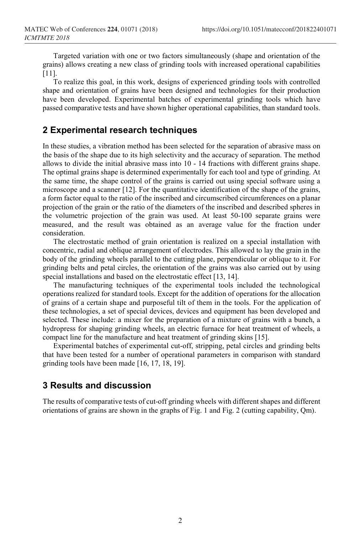Targeted variation with one or two factors simultaneously (shape and orientation of the grains) allows creating a new class of grinding tools with increased operational capabilities [11].

To realize this goal, in this work, designs of experienced grinding tools with controlled shape and orientation of grains have been designed and technologies for their production have been developed. Experimental batches of experimental grinding tools which have passed comparative tests and have shown higher operational capabilities, than standard tools.

#### **2 Experimental research techniques**

In these studies, a vibration method has been selected for the separation of abrasive mass on the basis of the shape due to its high selectivity and the accuracy of separation. The method allows to divide the initial abrasive mass into 10 - 14 fractions with different grains shape. The optimal grains shape is determined experimentally for each tool and type of grinding. At the same time, the shape control of the grains is carried out using special software using a microscope and a scanner [12]. For the quantitative identification of the shape of the grains, a form factor equal to the ratio of the inscribed and circumscribed circumferences on a planar projection of the grain or the ratio of the diameters of the inscribed and described spheres in the volumetric projection of the grain was used. At least 50-100 separate grains were measured, and the result was obtained as an average value for the fraction under consideration.

The electrostatic method of grain orientation is realized on a special installation with concentric, radial and oblique arrangement of electrodes. This allowed to lay the grain in the body of the grinding wheels parallel to the cutting plane, perpendicular or oblique to it. For grinding belts and petal circles, the orientation of the grains was also carried out by using special installations and based on the electrostatic effect [13, 14].

The manufacturing techniques of the experimental tools included the technological operations realized for standard tools. Except for the addition of operations for the allocation of grains of a certain shape and purposeful tilt of them in the tools. For the application of these technologies, a set of special devices, devices and equipment has been developed and selected. These include: a mixer for the preparation of a mixture of grains with a bunch, a hydropress for shaping grinding wheels, an electric furnace for heat treatment of wheels, a compact line for the manufacture and heat treatment of grinding skins [15].

Experimental batches of experimental cut-off, stripping, petal circles and grinding belts that have been tested for a number of operational parameters in comparison with standard grinding tools have been made [16, 17, 18, 19].

#### **3 Results and discussion**

The results of comparative tests of cut-off grinding wheels with different shapes and different orientations of grains are shown in the graphs of Fig. 1 and Fig. 2 (cutting capability, Qm).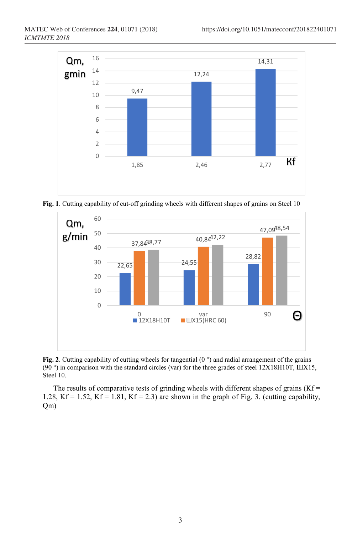

**Fig. 1**. Cutting capability of cut-off grinding wheels with different shapes of grains on Steel 10



**Fig. 2**. Cutting capability of cutting wheels for tangential (0 °) and radial arrangement of the grains (90 $\degree$ ) in comparison with the standard circles (var) for the three grades of steel 12X18H10T, IIIX15, Steel 10.

The results of comparative tests of grinding wheels with different shapes of grains ( $Kf =$ 1.28,  $Kf = 1.52$ ,  $Kf = 1.81$ ,  $Kf = 2.3$ ) are shown in the graph of Fig. 3. (cutting capability, Qm)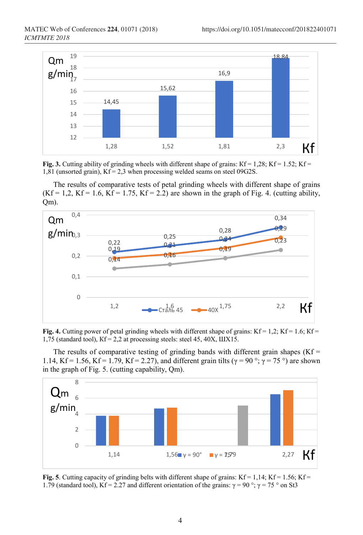

**Fig. 3.** Cutting ability of grinding wheels with different shape of grains:  $Kf = 1.28$ ;  $Kf = 1.52$ ;  $Kf = 1.52$ 1,81 (unsorted grain),  $Kf = 2,3$  when processing welded seams on steel 09G2S.

The results of comparative tests of petal grinding wheels with different shape of grains  $(Kf = 1,2, Kf = 1.6, Kf = 1.75, Kf = 2.2)$  are shown in the graph of Fig. 4. (cutting ability, Qm).



**Fig. 4.** Cutting power of petal grinding wheels with different shape of grains:  $Kf = 1.2$ ;  $Kf = 1.6$ ;  $Kf = 1$ 1,75 (standard tool),  $Kf = 2.2$  at processing steels: steel 45, 40X,  $\text{II}XX15$ .

The results of comparative testing of grinding bands with different grain shapes ( $Kf =$ 1.14, Kf = 1.56, Kf = 1.79, Kf = 2.27), and different grain tilts ( $\gamma$  = 90 °;  $\gamma$  = 75 °) are shown in the graph of Fig. 5. (cutting capability, Qm).



**Fig. 5**. Cutting capacity of grinding belts with different shape of grains:  $Kf = 1.14$ ;  $Kf = 1.56$ ;  $Kf = 1.56$ 1.79 (standard tool), Kf = 2.27 and different orientation of the grains:  $\gamma = 90^\circ$ ;  $\gamma = 75^\circ$  on St3